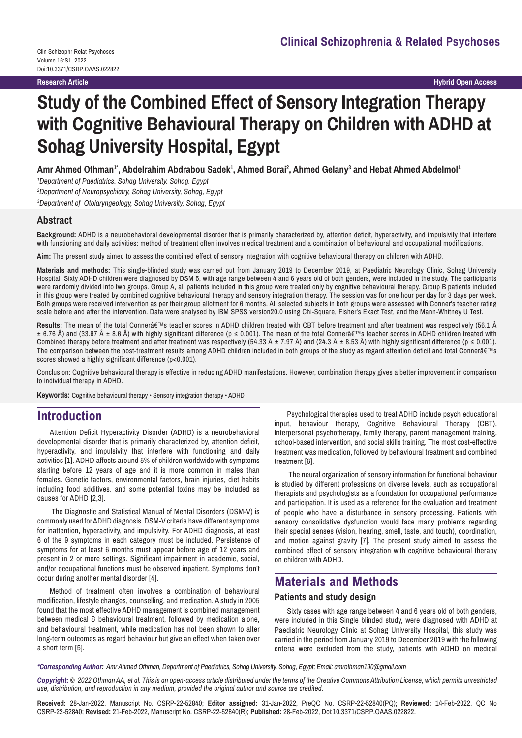**Research Article**

**Hybrid Open Access**

# **Study of the Combined Effect of Sensory Integration Therapy with Cognitive Behavioural Therapy on Children with ADHD at Sohag University Hospital, Egypt**

Amr Ahmed Othman<sup>1</sup>', Abdelrahim Abdrabou Sadek<sup>1</sup>, Ahmed Borai<sup>2</sup>, Ahmed Gelany<sup>3</sup> and Hebat Ahmed Abdelmol<sup>1</sup>

*1 Department of Paediatrics, Sohag University, Sohag, Egypt 2 Department of Neuropsychiatry, Sohag University, Sohag, Egypt 3 Department of Otolaryngeology, Sohag University, Sohag, Egypt*

#### **Abstract**

**Background:** ADHD is a neurobehavioral developmental disorder that is primarily characterized by, attention deficit, hyperactivity, and impulsivity that interfere with functioning and daily activities; method of treatment often involves medical treatment and a combination of behavioural and occupational modifications.

**Aim:** The present study aimed to assess the combined effect of sensory integration with cognitive behavioural therapy on children with ADHD.

**Materials and methods:** This single-blinded study was carried out from January 2019 to December 2019, at Paediatric Neurology Clinic, Sohag University Hospital. Sixty ADHD children were diagnosed by DSM 5, with age range between 4 and 6 years old of both genders, were included in the study. The participants were randomly divided into two groups. Group A, all patients included in this group were treated only by cognitive behavioural therapy. Group B patients included in this group were treated by combined cognitive behavioural therapy and sensory integration therapy. The session was for one hour per day for 3 days per week. Both groups were received intervention as per their group allotment for 6 months. All selected subjects in both groups were assessed with Conner's teacher rating scale before and after the intervention. Data were analysed by IBM SPSS version20.0 using Chi-Square, Fisher's Exact Test, and the Mann-Whitney U Test.

**Results:** The mean of the total Conner's teacher scores in ADHD children treated with CBT before treatment and after treatment was respectively (56.1 Â ± 6.76 Å) and (33.67 Å ± 8.6 Å) with highly significant difference (p ≤ 0.001). The mean of the total Conner $\hat{\alpha} \in \mathbb{N}$ s teacher scores in ADHD children treated with Combined therapy before treatment and after treatment was respectively (54.33  $\hat{A} \pm 7.97$  Å) and (24.3  $\hat{A} \pm 8.53$  Å) with highly significant difference (p  $\leq 0.001$ ). The comparison between the post-treatment results among ADHD children included in both groups of the study as regard attention deficit and total Connerâ $\epsilon_{\text{ms}}$ scores showed a highly significant difference (p<0.001).

Conclusion: Cognitive behavioural therapy is effective in reducing ADHD manifestations. However, combination therapy gives a better improvement in comparison to individual therapy in ADHD.

**Keywords:** Cognitive behavioural therapy • Sensory integration therapy • ADHD

# **Introduction**

Attention Deficit Hyperactivity Disorder (ADHD) is a neurobehavioral developmental disorder that is primarily characterized by, attention deficit, hyperactivity, and impulsivity that interfere with functioning and daily activities [1]. ADHD affects around 5% of children worldwide with symptoms starting before 12 years of age and it is more common in males than females. Genetic factors, environmental factors, brain injuries, diet habits including food additives, and some potential toxins may be included as causes for ADHD [2,3].

 The Diagnostic and Statistical Manual of Mental Disorders (DSM-V) is commonly used for ADHD diagnosis. DSM-V criteria have different symptoms for inattention, hyperactivity, and impulsivity. For ADHD diagnosis, at least 6 of the 9 symptoms in each category must be included. Persistence of symptoms for at least 6 months must appear before age of 12 years and present in 2 or more settings. Significant impairment in academic, social, and/or occupational functions must be observed inpatient. Symptoms don't occur during another mental disorder [4].

Method of treatment often involves a combination of behavioural modification, lifestyle changes, counselling, and medication. A study in 2005 found that the most effective ADHD management is combined management between medical & behavioural treatment, followed by medication alone, and behavioural treatment, while medication has not been shown to alter long-term outcomes as regard behaviour but give an effect when taken over a short term [5].

Psychological therapies used to treat ADHD include psych educational input, behaviour therapy, Cognitive Behavioural Therapy (CBT), interpersonal psychotherapy, family therapy, parent management training, school-based intervention, and social skills training. The most cost-effective treatment was medication, followed by behavioural treatment and combined treatment [6].

 The neural organization of sensory information for functional behaviour is studied by different professions on diverse levels, such as occupational therapists and psychologists as a foundation for occupational performance and participation. It is used as a reference for the evaluation and treatment of people who have a disturbance in sensory processing. Patients with sensory consolidative dysfunction would face many problems regarding their special senses (vision, hearing, smell, taste, and touch), coordination, and motion against gravity [7]. The present study aimed to assess the combined effect of sensory integration with cognitive behavioural therapy on children with ADHD.

# **Materials and Methods**

#### **Patients and study design**

Sixty cases with age range between 4 and 6 years old of both genders, were included in this Single blinded study, were diagnosed with ADHD at Paediatric Neurology Clinic at Sohag University Hospital, this study was carried in the period from January 2019 to December 2019 with the following criteria were excluded from the study, patients with ADHD on medical

*\*Corresponding Author: Amr Ahmed Othman, Department of Paediatrics, Sohag University, Sohag, Egypt; Email: amrothman190@gmail.com*

*Copyright: © 2022 Othman AA, et al. This is an open-access article distributed under the terms of the Creative Commons Attribution License, which permits unrestricted use, distribution, and reproduction in any medium, provided the original author and source are credited.*

**Received:** 28-Jan-2022, Manuscript No. CSRP-22-52840; **Editor assigned:** 31-Jan-2022, PreQC No. CSRP-22-52840(PQ); **Reviewed:** 14-Feb-2022, QC No CSRP-22-52840; **Revised:** 21-Feb-2022, Manuscript No. CSRP-22-52840(R); **Published:** 28-Feb-2022, Doi:10.3371/CSRP.OAAS.022822.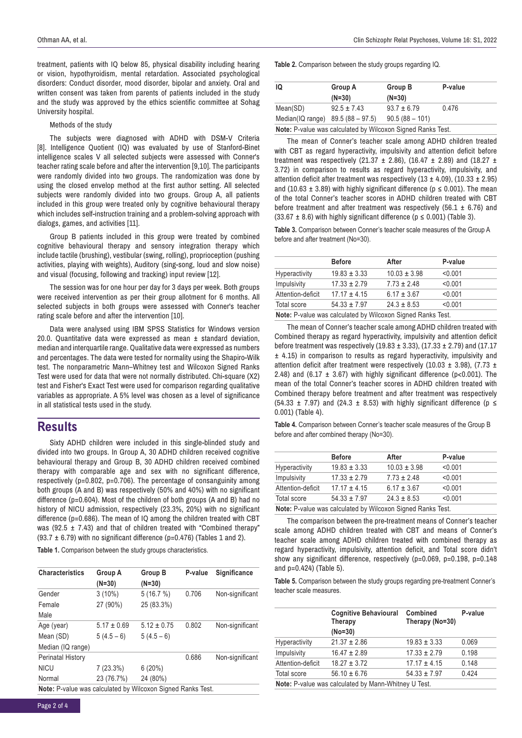treatment, patients with IQ below 85, physical disability including hearing or vision, hypothyroidism, mental retardation. Associated psychological disorders: Conduct disorder, mood disorder, bipolar and anxiety. Oral and written consent was taken from parents of patients included in the study and the study was approved by the ethics scientific committee at Sohag University hospital.

#### Methods of the study

The subjects were diagnosed with ADHD with DSM-V Criteria [8]. Intelligence Quotient (IQ) was evaluated by use of Stanford-Binet intelligence scales V all selected subjects were assessed with Conner's teacher rating scale before and after the intervention [9,10]. The participants were randomly divided into two groups. The randomization was done by using the closed envelop method at the first author setting. All selected subjects were randomly divided into two groups. Group A, all patients included in this group were treated only by cognitive behavioural therapy which includes self-instruction training and a problem-solving approach with dialogs, games, and activities [11].

Group B patients included in this group were treated by combined cognitive behavioural therapy and sensory integration therapy which include tactile (brushing), vestibular (swing, rolling), proprioception (pushing activities, playing with weights), Auditory (sing-song, loud and slow noise) and visual (focusing, following and tracking) input review [12].

The session was for one hour per day for 3 days per week. Both groups were received intervention as per their group allotment for 6 months. All selected subjects in both groups were assessed with Conner's teacher rating scale before and after the intervention [10].

Data were analysed using IBM SPSS Statistics for Windows version 20.0. Quantitative data were expressed as mean ± standard deviation, median and interquartile range. Qualitative data were expressed as numbers and percentages. The data were tested for normality using the Shapiro-Wilk test. The nonparametric Mann–Whitney test and Wilcoxon Signed Ranks Test were used for data that were not normally distributed. Chi-square (X2) test and Fisher's Exact Test were used for comparison regarding qualitative variables as appropriate. A 5% level was chosen as a level of significance in all statistical tests used in the study.

## **Results**

Sixty ADHD children were included in this single-blinded study and divided into two groups. In Group A, 30 ADHD children received cognitive behavioural therapy and Group B, 30 ADHD children received combined therapy with comparable age and sex with no significant difference, respectively (p=0.802, p=0.706). The percentage of consanguinity among both groups (A and B) was respectively (50% and 40%) with no significant difference (p=0.604). Most of the children of both groups (A and B) had no history of NICU admission, respectively (23.3%, 20%) with no significant difference (p=0.686). The mean of IQ among the children treated with CBT was (92.5  $\pm$  7.43) and that of children treated with "Combined therapy" (93.7  $\pm$  6.79) with no significant difference (p=0.476) (Tables 1 and 2).

**Table 1.** Comparison between the study groups characteristics.

| <b>Characteristics</b>                                      | Group A<br>$(N=30)$ | Group B<br>$(N=30)$ | P-value | <b>Significance</b> |
|-------------------------------------------------------------|---------------------|---------------------|---------|---------------------|
| Gender                                                      | $3(10\%)$           | 5(16.7%)            | 0.706   | Non-significant     |
| Female                                                      | 27 (90%)            | 25 (83.3%)          |         |                     |
| Male                                                        |                     |                     |         |                     |
| Age (year)                                                  | $5.17 \pm 0.69$     | $5.12 \pm 0.75$     | 0.802   | Non-significant     |
| Mean (SD)                                                   | $5(4.5-6)$          | $5(4.5-6)$          |         |                     |
| Median (IQ range)                                           |                     |                     |         |                     |
| Perinatal History                                           |                     |                     | 0.686   | Non-significant     |
| <b>NICU</b>                                                 | 7 (23.3%)           | 6(20%)              |         |                     |
| Normal                                                      | 23 (76.7%)          | 24 (80%)            |         |                     |
| Note: P-value was calculated by Wilcoxon Signed Ranks Test. |                     |                     |         |                     |

**Table 2.** Comparison between the study groups regarding IQ.

| IQ                                                          | Group A         | Group B          | P-value |
|-------------------------------------------------------------|-----------------|------------------|---------|
|                                                             | $(N=30)$        | $(N=30)$         |         |
| Mean(SD)                                                    | $92.5 \pm 7.43$ | $93.7 \pm 6.79$  | 0.476   |
| Median(IQ range) 89.5 (88 - 97.5)                           |                 | $90.5(88 - 101)$ |         |
| Note: P-value was calculated by Wilcoxon Signed Ranks Test. |                 |                  |         |

The mean of Conner's teacher scale among ADHD children treated with CBT as regard hyperactivity, impulsivity and attention deficit before treatment was respectively (21.37  $\pm$  2.86), (16.47  $\pm$  2.89) and (18.27  $\pm$ 3.72) in comparison to results as regard hyperactivity, impulsivity, and attention deficit after treatment was respectively  $(13 \pm 4.09)$ ,  $(10.33 \pm 2.95)$ and (10.63  $\pm$  3.89) with highly significant difference ( $p \le 0.001$ ). The mean of the total Conner's teacher scores in ADHD children treated with CBT before treatment and after treatment was respectively (56.1  $\pm$  6.76) and  $(33.67 \pm 8.6)$  with highly significant difference ( $p \le 0.001$ ) (Table 3).

**Table 3.** Comparison between Conner's teacher scale measures of the Group A before and after treatment (No=30).

|                                                             | <b>Before</b>    | After            | P-value |
|-------------------------------------------------------------|------------------|------------------|---------|
| <b>Hyperactivity</b>                                        | $19.83 \pm 3.33$ | $10.03 \pm 3.98$ | < 0.001 |
| Impulsivity                                                 | $17.33 \pm 2.79$ | $7.73 \pm 2.48$  | < 0.001 |
| Attention-deficit                                           | $17.17 \pm 4.15$ | $6.17 \pm 3.67$  | < 0.001 |
| Total score                                                 | $54.33 \pm 7.97$ | $24.3 \pm 8.53$  | < 0.001 |
| Note: P-value was calculated by Wilcoxon Signed Ranks Test. |                  |                  |         |

The mean of Conner's teacher scale among ADHD children treated with Combined therapy as regard hyperactivity, impulsivity and attention deficit before treatment was respectively (19.83 ± 3.33), (17.33 ± 2.79) and (17.17 ± 4.15) in comparison to results as regard hyperactivity, impulsivity and attention deficit after treatment were respectively (10.03  $\pm$  3.98), (7.73  $\pm$ 2.48) and (6.17  $\pm$  3.67) with highly significant difference (p<0.001). The mean of the total Conner's teacher scores in ADHD children treated with Combined therapy before treatment and after treatment was respectively (54.33  $\pm$  7.97) and (24.3  $\pm$  8.53) with highly significant difference (p  $\le$ 0.001) (Table 4).

**Table 4.** Comparison between Conner's teacher scale measures of the Group B before and after combined therapy (No=30).

|                                                             | <b>Before</b>    | After            | P-value |
|-------------------------------------------------------------|------------------|------------------|---------|
| Hyperactivity                                               | $19.83 \pm 3.33$ | $10.03 \pm 3.98$ | < 0.001 |
| Impulsivity                                                 | $17.33 \pm 2.79$ | $7.73 \pm 2.48$  | < 0.001 |
| Attention-deficit                                           | $17.17 \pm 4.15$ | $6.17 \pm 3.67$  | < 0.001 |
| Total score                                                 | $54.33 \pm 7.97$ | $24.3 \pm 8.53$  | < 0.001 |
| Note: P-value was calculated by Wilcoxon Signed Ranks Test. |                  |                  |         |

The comparison between the pre-treatment means of Conner's teacher scale among ADHD children treated with CBT and means of Conner's teacher scale among ADHD children treated with combined therapy as regard hyperactivity, impulsivity, attention deficit, and Total score didn't show any significant difference, respectively (p=0.069, p=0.198, p=0.148 and p=0.424) (Table 5).

**Table 5.** Comparison between the study groups regarding pre-treatment Conner's teacher scale measures.

|                   | <b>Cognitive Behavioural</b><br>Therapy<br>$(No=30)$ | Combined<br>Therapy (No=30) | P-value |
|-------------------|------------------------------------------------------|-----------------------------|---------|
| Hyperactivity     | $21.37 \pm 2.86$                                     | $19.83 \pm 3.33$            | 0.069   |
| Impulsivity       | $16.47 \pm 2.89$                                     | $17.33 \pm 2.79$            | 0.198   |
| Attention-deficit | $18.27 \pm 3.72$                                     | $17.17 \pm 4.15$            | 0.148   |
| Total score       | $56.10 \pm 6.76$                                     | $54.33 \pm 7.97$            | 0.424   |
|                   | Note: P-value was calculated by Mann-Whitney U Test. |                             |         |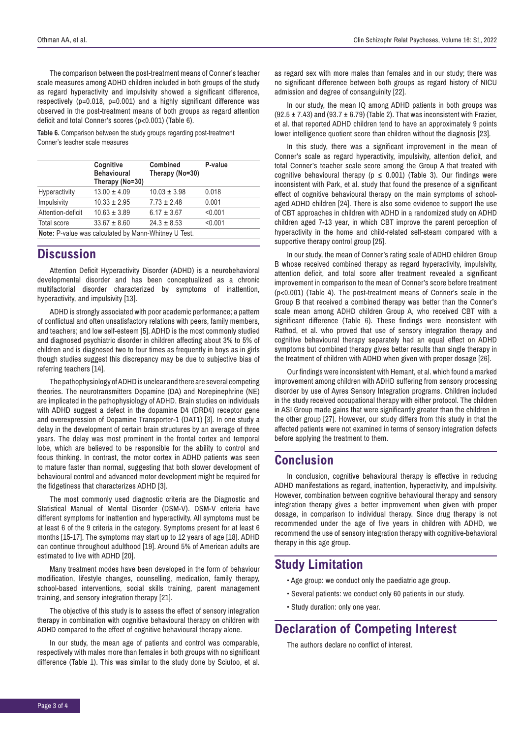The comparison between the post-treatment means of Conner's teacher scale measures among ADHD children included in both groups of the study as regard hyperactivity and impulsivity showed a significant difference, respectively (p=0.018, p=0.001) and a highly significant difference was observed in the post-treatment means of both groups as regard attention deficit and total Conner's scores (p<0.001) (Table 6).

**Table 6.** Comparison between the study groups regarding post-treatment Conner's teacher scale measures

|                                                             | Cognitive<br><b>Behavioural</b><br>Therapy (No=30) | Combined<br>Therapy (No=30) | P-value |  |
|-------------------------------------------------------------|----------------------------------------------------|-----------------------------|---------|--|
| <b>Hyperactivity</b>                                        | $13.00 \pm 4.09$                                   | $10.03 \pm 3.98$            | 0.018   |  |
| Impulsivity                                                 | $10.33 \pm 2.95$                                   | $7.73 \pm 2.48$             | 0.001   |  |
| Attention-deficit                                           | $10.63 \pm 3.89$                                   | $6.17 \pm 3.67$             | < 0.001 |  |
| Total score                                                 | $33.67 \pm 8.60$                                   | $24.3 \pm 8.53$             | < 0.001 |  |
| <b>Note:</b> P-value was calculated by Mann-Whitney U Test. |                                                    |                             |         |  |

## **Discussion**

Attention Deficit Hyperactivity Disorder (ADHD) is a neurobehavioral developmental disorder and has been conceptualized as a chronic multifactorial disorder characterized by symptoms of inattention, hyperactivity, and impulsivity [13].

ADHD is strongly associated with poor academic performance; a pattern of conflictual and often unsatisfactory relations with peers, family members, and teachers; and low self-esteem [5]. ADHD is the most commonly studied and diagnosed psychiatric disorder in children affecting about 3% to 5% of children and is diagnosed two to four times as frequently in boys as in girls though studies suggest this discrepancy may be due to subjective bias of referring teachers [14].

The pathophysiology of ADHD is unclear and there are several competing theories. The neurotransmitters Dopamine (DA) and Norepinephrine (NE) are implicated in the pathophysiology of ADHD. Brain studies on individuals with ADHD suggest a defect in the dopamine D4 (DRD4) receptor gene and overexpression of Dopamine Transporter-1 (DAT1) [3]. In one study a delay in the development of certain brain structures by an average of three years. The delay was most prominent in the frontal cortex and temporal lobe, which are believed to be responsible for the ability to control and focus thinking. In contrast, the motor cortex in ADHD patients was seen to mature faster than normal, suggesting that both slower development of behavioural control and advanced motor development might be required for the fidgetiness that characterizes ADHD [3].

The most commonly used diagnostic criteria are the Diagnostic and Statistical Manual of Mental Disorder (DSM-V). DSM-V criteria have different symptoms for inattention and hyperactivity. All symptoms must be at least 6 of the 9 criteria in the category. Symptoms present for at least 6 months [15-17]. The symptoms may start up to 12 years of age [18]. ADHD can continue throughout adulthood [19]. Around 5% of American adults are estimated to live with ADHD [20].

Many treatment modes have been developed in the form of behaviour modification, lifestyle changes, counselling, medication, family therapy, school-based interventions, social skills training, parent management training, and sensory integration therapy [21].

The objective of this study is to assess the effect of sensory integration therapy in combination with cognitive behavioural therapy on children with ADHD compared to the effect of cognitive behavioural therapy alone.

In our study, the mean age of patients and control was comparable, respectively with males more than females in both groups with no significant difference (Table 1). This was similar to the study done by Sciutoo, et al. as regard sex with more males than females and in our study; there was no significant difference between both groups as regard history of NICU admission and degree of consanguinity [22].

In our study, the mean IQ among ADHD patients in both groups was  $(92.5 \pm 7.43)$  and  $(93.7 \pm 6.79)$  (Table 2). That was inconsistent with Frazier, et al. that reported ADHD children tend to have an approximately 9 points lower intelligence quotient score than children without the diagnosis [23].

In this study, there was a significant improvement in the mean of Conner's scale as regard hyperactivity, impulsivity, attention deficit, and total Conner's teacher scale score among the Group A that treated with cognitive behavioural therapy ( $p \le 0.001$ ) (Table 3). Our findings were inconsistent with Park, et al. study that found the presence of a significant effect of cognitive behavioural therapy on the main symptoms of schoolaged ADHD children [24]. There is also some evidence to support the use of CBT approaches in children with ADHD in a randomized study on ADHD children aged 7-13 year, in which CBT improve the parent perception of hyperactivity in the home and child-related self-steam compared with a supportive therapy control group [25].

In our study, the mean of Conner's rating scale of ADHD children Group B whose received combined therapy as regard hyperactivity, impulsivity, attention deficit, and total score after treatment revealed a significant improvement in comparison to the mean of Conner's score before treatment (p<0.001) (Table 4). The post-treatment means of Conner's scale in the Group B that received a combined therapy was better than the Conner's scale mean among ADHD children Group A, who received CBT with a significant difference (Table 6). These findings were inconsistent with Rathod, et al. who proved that use of sensory integration therapy and cognitive behavioural therapy separately had an equal effect on ADHD symptoms but combined therapy gives better results than single therapy in the treatment of children with ADHD when given with proper dosage [26].

Our findings were inconsistent with Hemant, et al. which found a marked improvement among children with ADHD suffering from sensory processing disorder by use of Ayres Sensory Integration programs. Children included in the study received occupational therapy with either protocol. The children in ASI Group made gains that were significantly greater than the children in the other group [27]. However, our study differs from this study in that the affected patients were not examined in terms of sensory integration defects before applying the treatment to them.

## **Conclusion**

In conclusion, cognitive behavioural therapy is effective in reducing ADHD manifestations as regard, inattention, hyperactivity, and impulsivity. However, combination between cognitive behavioural therapy and sensory integration therapy gives a better improvement when given with proper dosage, in comparison to individual therapy. Since drug therapy is not recommended under the age of five years in children with ADHD, we recommend the use of sensory integration therapy with cognitive-behavioral therapy in this age group.

## **Study Limitation**

- Age group: we conduct only the paediatric age group.
- Several patients: we conduct only 60 patients in our study.
- Study duration: only one year.

# **Declaration of Competing Interest**

The authors declare no conflict of interest.